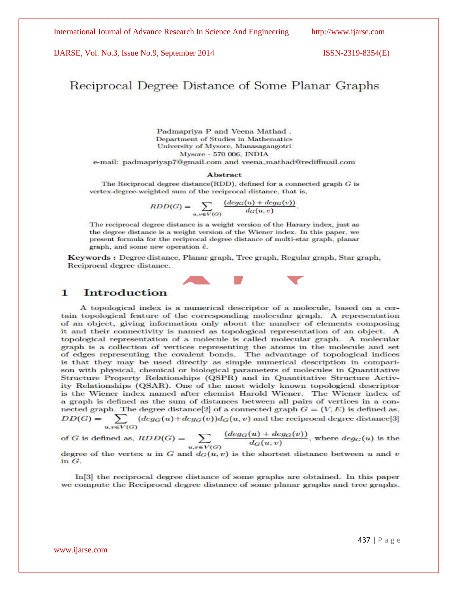# Reciprocal Degree Distance of Some Planar Graphs

Padmapriya P and Veena Mathad. Department of Studies in Mathematics University of Mysore, Manasagangotri Mysore - 570 006, INDIA e-mail: padmapriyap7@gmail.com and veena\_mathad@rediffmail.com

## Abstract

The Reciprocal degree distance(RDD), defined for a connected graph  $G$  is vertex-degree-weighted sum of the reciprocal distance, that is,

 $RDD(G) = \sum_{u,v \in V(G)} \frac{(deg_G(u) + deg_G(v))}{d_G(u,v)}.$ 

The reciprocal degree distance is a weight version of the Harary index, just as the degree distance is a weight version of the Wiener index. In this paper, we present formula for the reciprocal degree distance of multi-star graph, planar graph, and some new operation  $\hat{e}$ .

Keywords: Degree distance, Planar graph, Tree graph, Regular graph, Star graph, Reciprocal degree distance.



### **Introduction** 1

A topological index is a numerical descriptor of a molecule, based on a certain topological feature of the corresponding molecular graph. A representation of an object, giving information only about the number of elements composing it and their connectivity is named as topological representation of an object. A topological representation of a molecule is called molecular graph. A molecular graph is a collection of vertices representing the atoms in the molecule and set of edges representing the covalent bonds. The advantage of topological indices is that they may be used directly as simple numerical description in comparison with physical, chemical or biological parameters of molecules in Quantitative Structure Property Relationships (QSPR) and in Quantitative Structure Activity Relationships (QSAR). One of the most widely known topological descriptor is the Wiener index named after chemist Harold Wiener. The Wiener index of a graph is defined as the sum of distances between all pairs of vertices in a connected graph. The degree distance [2] of a connected graph  $G = (V, E)$  is defined as,  $DD(G) = \sum_{u,v \in V(G)} (deg_G(u) + deg_G(v))d_G(u,v)$  and the reciprocal degree distance[3]

 $u, v \in V(G)$ <br>of G is defined as,  $RDD(G) = \sum_{u,v \in V(G)} \frac{(deg_G(u) + deg_G(v))}{d_G(u,v)}$ , where  $deg_G(u)$  is the

degree of the vertex u in G and  $d_G(u, v)$  is the shortest distance between u and v in G.

In [3] the reciprocal degree distance of some graphs are obtained. In this paper we compute the Reciprocal degree distance of some planar graphs and tree graphs.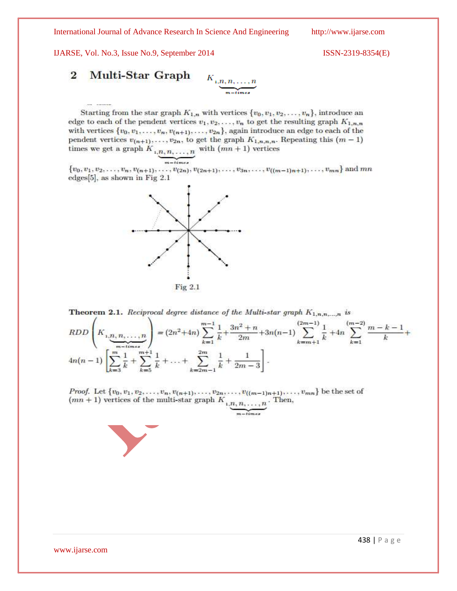IJARSE, Vol. No.3, Issue No.9, September 2014 ISSN-2319-8354(E)

2 Multi-Star Graph 
$$
K_{1,n,n,\ldots,n}
$$

Starting from the star graph  $K_{1,n}$  with vertices  $\{v_0, v_1, v_2, \ldots, v_n\}$ , introduce an edge to each of the pendent vertices  $v_1, v_2, \ldots, v_n$  to get the resulting graph  $K_{1,n,n}$ with vertices  $\{v_0, v_1, \ldots, v_n, v_{(n+1)}, \ldots, v_{2n}\}$ , again introduce an edge to each of the pendent vertices  $v_{(n+1)}, \ldots, v_{2n}$ , to get the graph  $K_{1,n,n,n}$ . Repeating this  $(m-1)$ times we get a graph  $K_{1,n,n,\ldots,n}$  with  $(mn+1)$  vertices

 $\{v_0, v_1, v_2, \ldots, v_n, v_{(n+1)}, \ldots, v_{(2n)}, v_{(2n+1)}, \ldots, v_{3n}, \ldots, v_{((m-1)n+1)}, \ldots, v_{mn}\}\$  and  $mn$ edges $[5]$ , as shown in Fig 2.1



**Theorem 2.1.** Reciprocal degree distance of the Multi-star graph  $K_{1,n,m,\dots,n}$  is  $RDD\left(K_{1,\underbrace{n,n,\ldots,n}_{m-times}}\right)=(2n^2+4n)\sum_{k=1}^{m-1}\frac{1}{k}+\frac{3n^2+n}{2m}+3n(n-1)\sum_{k=m+1}^{(2m-1)}\frac{1}{k}+4n\sum_{k=1}^{(m-2)}\frac{m-k-1}{k}+3n(n-1)$  $4n(n-1)\left[\sum_{k=2}^{m}\frac{1}{k}+\sum_{k=1}^{m+1}\frac{1}{k}+\ldots+\sum_{k=2m-1}^{2m}\frac{1}{k}+\frac{1}{2m-3}\right].$ 

*Proof.* Let  $\{v_0, v_1, v_2, \ldots, v_n, v_{(n+1)}, \ldots, v_{2n}, \ldots, v_{((m-1)n+1)}, \ldots, v_{mn}\}$  be the set of  $(mn+1)$  vertices of the multi-star graph  $K_{1,n,n,\ldots,n}$ . Then,

$$
m-times
$$

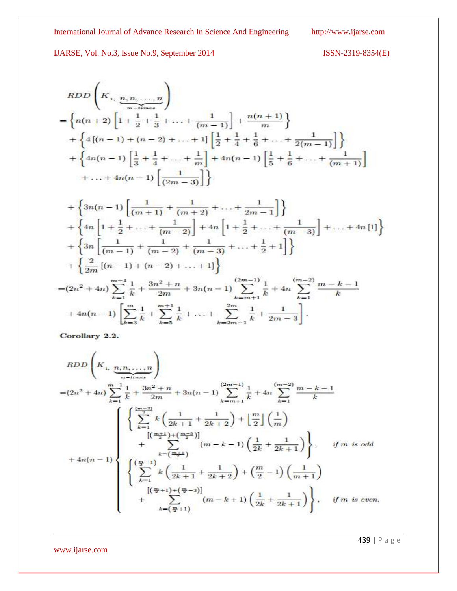$$
ISSN-2319-8354(E)
$$

$$
RDD\left(K_{1, \frac{n}{2}, n, \dots, n}\right)
$$
\n
$$
= \left\{ n(n+2) \left[ 1 + \frac{1}{2} + \frac{1}{3} + \dots + \frac{1}{(m-1)} \right] + \frac{n(n+1)}{m} \right\}
$$
\n
$$
+ \left\{ 4 \left[ (n-1) + (n-2) + \dots + 1 \right] \left[ \frac{1}{2} + \frac{1}{4} + \frac{1}{6} + \dots + \frac{1}{2(m-1)} \right] \right\}
$$
\n
$$
+ \left\{ 4n(n-1) \left[ \frac{1}{3} + \frac{1}{4} + \dots + \frac{1}{m} \right] + 4n(n-1) \left[ \frac{1}{5} + \frac{1}{6} + \dots + \frac{1}{(m+1)} \right] + \dots + 4n(n-1) \left[ \frac{1}{(2m-3)} \right] \right\}
$$

$$
+\left\{3n(n-1)\left[\frac{1}{(m+1)}+\frac{1}{(m+2)}+\ldots+\frac{1}{2m-1}\right]\right\}
$$
  
+
$$
\left\{4n\left[1+\frac{1}{2}+\ldots+\frac{1}{(m-2)}\right]+4n\left[1+\frac{1}{2}+\ldots+\frac{1}{(m-3)}\right]+\ldots+4n\left[1\right]\right\}
$$
  
+
$$
\left\{3n\left[\frac{1}{(m-1)}+\frac{1}{(m-2)}+\frac{1}{(m-3)}+\ldots+\frac{1}{2}+1\right]\right\}
$$
  
+
$$
\left\{\frac{2}{2m}\left[(n-1)+(n-2)+\ldots+1\right]\right\}
$$
  
=
$$
(2n^2+4n)\sum_{k=1}^{m-1}\frac{1}{k}+\frac{3n^2+n}{2m}+3n(n-1)\sum_{k=m+1}^{(2m-1)}\frac{1}{k}+4n\sum_{k=1}^{(m-2)}\frac{m-k-1}{k}
$$
  
+
$$
4n(n-1)\left[\sum_{k=3}^{m}\frac{1}{k}+\sum_{k=5}^{m+1}\frac{1}{k}+\ldots+\sum_{k=2m-1}^{2m}\frac{1}{k}+\frac{1}{2m-3}\right].
$$

Corollary 2.2.

$$
RDD\left(K_{1,\frac{n}{2},n,\ldots,n}\right)
$$
\n
$$
=(2n^{2}+4n)\sum_{k=1}^{m-1}\frac{1}{k}+\frac{3n^{2}+n}{2m}+3n(n-1)\sum_{k=m+1}^{(2m-1)}\frac{1}{k}+4n\sum_{k=1}^{(m-2)}\frac{m-k-1}{k}
$$
\n
$$
\left\{\sum_{k=1}^{\frac{(m-3)}{2}}k\left(\frac{1}{2k+1}+\frac{1}{2k+2}\right)+\left\lfloor\frac{m}{2}\right\rfloor\left(\frac{1}{m}\right)\right\}
$$
\n
$$
+\sum_{k=\left(\frac{m+1}{2}\right)}^{(\frac{m+1}{2})+(\frac{m-5}{2})} (m-k-1)\left(\frac{1}{2k}+\frac{1}{2k+1}\right)\right\}, \text{ if } m \text{ is odd}
$$
\n
$$
+4n(n-1)\left\{\sum_{k=1}^{\left(\frac{m}{2}-1\right)}k\left(\frac{1}{2k+1}+\frac{1}{2k+2}\right)+\left(\frac{m}{2}-1\right)\left(\frac{1}{m+1}\right)\right\}
$$
\n
$$
[(\frac{m}{2}+1)+(\frac{m}{2}-3)]\right\} + \sum_{k=\left(\frac{m}{2}+1\right)}^{(\frac{m}{2}+1)(\frac{m}{2}-1)}(m-k+1)\left(\frac{1}{2k}+\frac{1}{2k+1}\right)\right\}, \text{ if } m \text{ is even.}
$$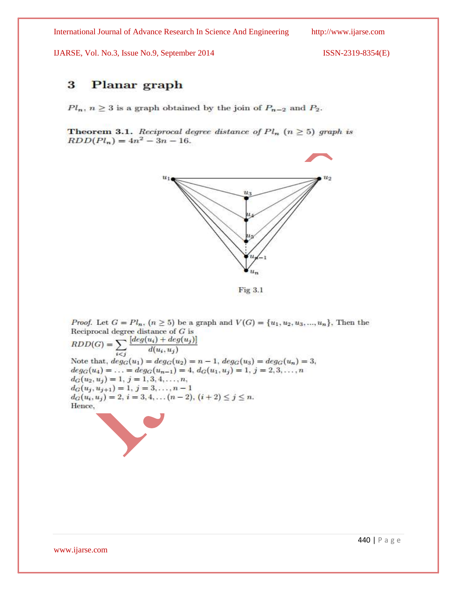IJARSE, Vol. No.3, Issue No.9, September 2014 ISSN-2319-8354(E)

## 3 **Planar** graph

 $Pl_n$ ,  $n \geq 3$  is a graph obtained by the join of  $P_{n-2}$  and  $P_2$ .

**Theorem 3.1.** Reciprocal degree distance of  $Pl_n$  ( $n \geq 5$ ) graph is  $RDD(Pl_n) = 4n^2 - 3n - 16.$ 



Fig 3.1

*Proof.* Let  $G = Pl_n$ ,  $(n \ge 5)$  be a graph and  $V(G) = \{u_1, u_2, u_3, ..., u_n\}$ . Then the Reciprocal degree distance of  $G$  is RDD(G) =  $\sum_{i < j} \frac{[deg(u_i) + deg(u_j)]}{d(u_i, u_j)}$ <br>Note that  $\sum_{i \le j}$ Note that,  $deg_G(u_1) = deg_G(u_2) = n - 1$ ,  $deg_G(u_3) = deg_G(u_n) = 3$ ,  $deg_G(u_4) = \ldots = deg_G(u_{n-1}) = 4, d_G(u_1, u_j) = 1, j = 2, 3, \ldots, n$  $d_G(u_2, u_j) = 1, j = 1, 3, 4, \ldots, n,$  $d_G(u_j, u_{j+1}) = 1, j = 3, \ldots, n-1$  $d_G(u_i, u_j) = 2, i = 3, 4, \ldots (n-2), (i+2) \leq j \leq n.$ Hence,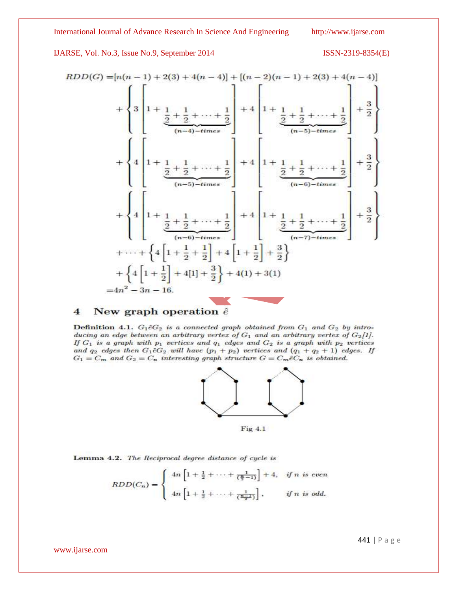IJARSE, Vol. No.3, Issue No.9, September 2014

$$
ISSN-2319-8354(E)
$$

$$
RDD(G) = [n(n-1) + 2(3) + 4(n-4)] + [(n-2)(n-1) + 2(3) + 4(n-4)]
$$
  
+ 
$$
\begin{Bmatrix} 1 \\ 3 \\ 4 \end{Bmatrix} + \frac{1}{2} + \frac{1}{2} + \dots + \frac{1}{2} + \frac{1}{2} + \frac{1}{2} + \frac{1}{2} + \dots + \frac{1}{2} + \frac{1}{2} + \frac{1}{2} + \dots + \frac{1}{2} + \frac{1}{2} + \frac{1}{2} + \dots + \frac{1}{2} + \frac{1}{2} + \frac{1}{2} + \dots + \frac{1}{2} + \frac{1}{2} + \dots + \frac{1}{2} + \frac{1}{2} + \dots + \frac{1}{2} + \frac{1}{2} + \dots + \frac{1}{2} + \frac{1}{2} + \dots + \frac{1}{2} + \frac{1}{2} + \dots + \frac{1}{2} + \frac{1}{2} + \dots + \frac{1}{2} + \frac{1}{2} + \dots + \frac{1}{2} + \frac{1}{2} + \dots + \frac{1}{2} + \frac{1}{2} + \dots + \frac{1}{2} + \frac{1}{2} + \dots + \frac{1}{2} + \frac{1}{2} + \frac{1}{2} + \frac{1}{2} + \frac{1}{2} + \frac{1}{2} + \frac{1}{2} + \frac{1}{2} + \frac{1}{2} + \frac{1}{2} + \frac{1}{2} + \frac{1}{2} + \frac{1}{2} + \frac{1}{2} + \frac{1}{2} + \frac{1}{2} + \frac{1}{2} + \frac{1}{2} + \frac{1}{2} + \frac{1}{2} + \frac{1}{2} + \frac{1}{2} + \frac{1}{2} + \frac{1}{2} + \frac{1}{2} + \frac{1}{2} + \frac{1}{2} + \frac{1}{2} + \frac{1}{2} + \frac{1}{2} + \frac{1}{2} + \frac{1}{2} + \frac{1}{2} + \frac{1}{2} + \frac{1}{2} + \frac{1}{2} + \frac{1}{2} + \frac{1}{2} + \frac{1}{2} + \frac{1}{2} + \frac{1}{2} + \frac{1}{2} + \frac{1}{2} + \frac{1}{2} + \frac{1
$$

### New graph operation  $\hat{e}$  $\overline{4}$

Definition 4.1.  $G_1 \hat{e} G_2$  is a connected graph obtained from  $G_1$  and  $G_2$  by introducing an edge between an arbitrary vertex of  $G_1$  and an arbitrary vertex of  $G_2[1]$ . If  $G_1$  is a graph with  $p_1$  vertices and  $q_1$  edges and  $G_2$  is a graph with  $p_2$  vertices and  $q_2$  edges then  $G_1 \hat{e} G_2$  will have  $(p_1 + p_2)$  vertices and  $(q_1 + q_2 + 1)$  edges. If  $G_1 = C_m$  and  $G_2 = C_n$  interesting graph structure  $G = C_m \hat{e} C_n$  is obtained.



Fig 4.1

Lemma 4.2. The Reciprocal degree distance of cycle is

$$
RDD(C_n) = \begin{cases} 4n \left[ 1 + \frac{1}{2} + \dots + \frac{1}{(\frac{n}{2}-1)} \right] + 4, & \text{if } n \text{ is even} \\ 4n \left[ 1 + \frac{1}{2} + \dots + \frac{1}{(\frac{n-1}{2})} \right], & \text{if } n \text{ is odd.} \end{cases}
$$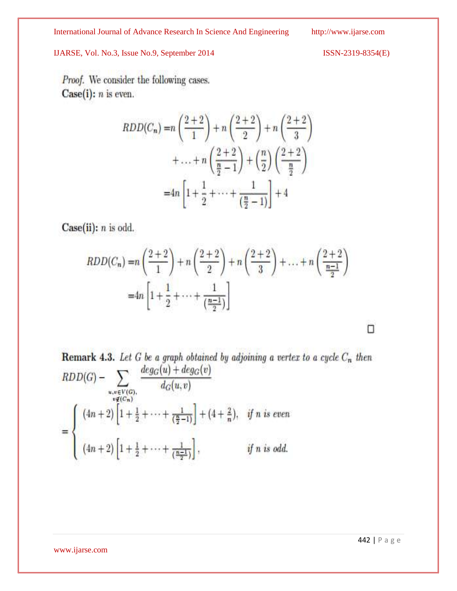Proof. We consider the following cases.  $Case(i): n$  is even.

$$
RDD(C_n) = n\left(\frac{2+2}{1}\right) + n\left(\frac{2+2}{2}\right) + n\left(\frac{2+2}{3}\right) + \dots + n\left(\frac{2+2}{\frac{n}{2}-1}\right) + \left(\frac{n}{2}\right)\left(\frac{2+2}{\frac{n}{2}}\right) = 4n\left[1 + \frac{1}{2} + \dots + \frac{1}{\left(\frac{n}{2}-1\right)}\right] + 4
$$

 $Case(ii): n$  is odd.

$$
RDD(C_n) = n\left(\frac{2+2}{1}\right) + n\left(\frac{2+2}{2}\right) + n\left(\frac{2+2}{3}\right) + \dots + n\left(\frac{2+2}{\frac{n-1}{2}}\right)
$$
  
=  $4n\left[1 + \frac{1}{2} + \dots + \frac{1}{\left(\frac{n-1}{2}\right)}\right]$ 

**Remark 4.3.** Let G be a graph obtained by adjoining a vertex to a cycle  $C_n$  then RDD(G) -  $\sum_{\substack{u,v \in V(G), \\ v \notin (C_n)}} \frac{deg_G(u) + deg_G(v)}{d_G(u,v)}$ <br>=  $\begin{cases} (4n+2) \left[1+\frac{1}{2}+\cdots+\frac{1}{(\frac{n}{2}-1)}\right] + (4+\frac{2}{n}), & \text{if } n \text{ is even} \\ (4n+2) \left[1+\frac{1}{2}+\cdots+\frac{1}{(\frac{n-1}{2})}\right], & \text{if } n \text{ is odd.} \end{cases}$ 

www.ijarse.com

п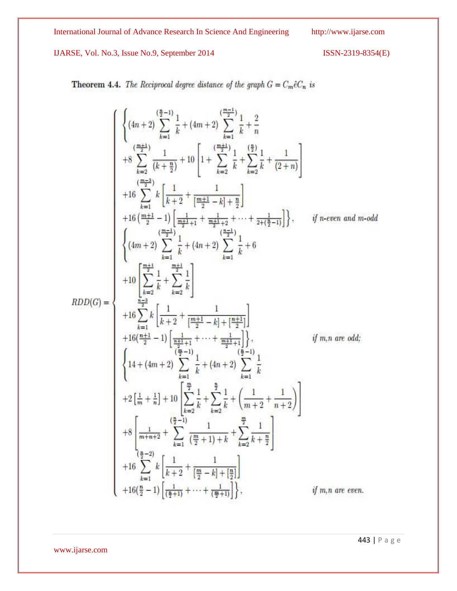IJARSE, Vol. No.3, Issue No.9, September 2014 ISSN-2319-8354(E)

**Theorem 4.4.** The Reciprocal degree distance of the graph  $G = C_m \hat{e} C_n$  is

$$
\left\{\begin{aligned} &\left\{(4n+2)\sum_{k=1}^{\left(\frac{n-1}{2}\right)}\frac{1}{k}+(4m+2)\sum_{k=1}^{\left(\frac{m-1}{2}\right)}\frac{1}{k}+\frac{2}{n} \right.\\ &\left. +8\sum_{k=2}^{\left(\frac{m-1}{2}\right)}\frac{1}{(k+\frac{n}{2})}+10\left[1+\sum_{k=2}^{\left(\frac{m+1}{2}\right)}\frac{1}{k}+\sum_{k=2}^{\left(\frac{n}{2}\right)}\frac{1}{k}+\frac{1}{(2+n)}\right]\right.\\ &\left.\left.+16\sum_{k=1}^{\left(\frac{m-1}{2}\right)}k\left[\frac{1}{k+2}+\frac{1}{\left[\frac{m+1}{2}-k\right]+\frac{n}{2}}\right]\right.\\ &\left.\left.\left.\begin{matrix}4m+2\\2\end{matrix}\right)\sum_{k=1}^{\left(\frac{m-1}{2}\right)}\frac{1}{k}+(4n+2)\sum_{k=1}^{\left(\frac{n-1}{2}\right)}\frac{1}{k}+6\right.\\ &\left.\left.\begin{matrix}4m+2\\2\end{matrix}\sum_{k=1}^{\left(\frac{m-1}{2}\right)}\frac{1}{k}+(4n+2)\sum_{k=1}^{\left(\frac{n-1}{2}\right)}\frac{1}{k}+6\right.\\ &\left.\left.\begin{matrix}4m+2\\2\end{matrix}\sum_{k=1}^{\left(\frac{m+1}{2}\right)}\frac{1}{k}+\left(\frac{4m+2}{2}\right)\sum_{k=1}^{\left(\frac{n-1}{2}\right)}\frac{1}{k}+6\right.\\ &\left.\left.\begin{matrix}4m+2\\2\end{matrix}\sum_{k=1}^{\left(\frac{m+1}{2}\right)}k\left[\frac{1}{k+2}+\frac{1}{\left[\frac{m+1}{2}-k\right]+[\frac{n+1}{2}]\right]}\\ &\left.\begin{matrix}44\left(\frac{n+1}{2}-1\right)\left[\frac{1}{\frac{n+1}{2}+1}+\cdots+\frac{1}{\frac{m+1}{2}+1}\right]\right.\\ &\left.\begin{matrix}44\left(\frac{n+1}{2}\right)-1\left[\frac{1}{\frac{n+1}{2}}\right]+4\left(4n+2\right)\sum_{k=1}^{\left(\frac
$$

443 | P a g e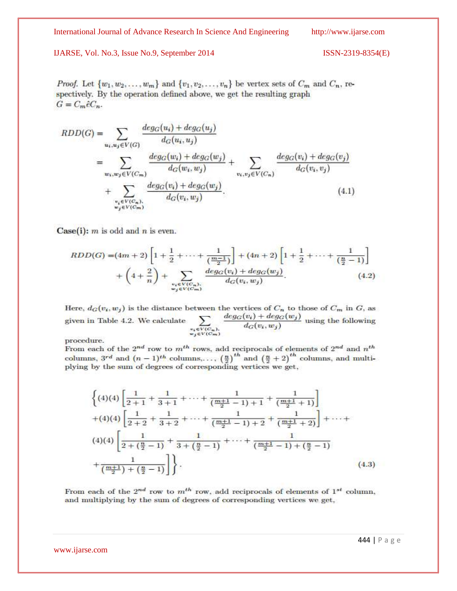*Proof.* Let  $\{w_1, w_2, \ldots, w_m\}$  and  $\{v_1, v_2, \ldots, v_n\}$  be vertex sets of  $C_m$  and  $C_n$ , respectively. By the operation defined above, we get the resulting graph  $G=C_m\hat{e}C_n$ .

$$
RDD(G) = \sum_{u_i, u_j \in V(G)} \frac{deg_G(u_i) + deg_G(u_j)}{d_G(u_i, u_j)}
$$
  
= 
$$
\sum_{w_i, w_j \in V(C_m)} \frac{deg_G(w_i) + deg_G(w_j)}{d_G(w_i, w_j)} + \sum_{v_i, v_j \in V(C_n)} \frac{deg_G(v_i) + deg_G(v_j)}{d_G(v_i, v_j)}
$$
  
+ 
$$
\sum_{\substack{v_i \in V(C_n), \ v_j \in V(C_m)}} \frac{deg_G(v_i) + deg_G(w_j)}{d_G(v_i, w_j)}.
$$
(4.1)

Case(i):  $m$  is odd and  $n$  is even.

$$
RDD(G) = (4m+2)\left[1 + \frac{1}{2} + \dots + \frac{1}{\left(\frac{m-1}{2}\right)}\right] + (4n+2)\left[1 + \frac{1}{2} + \dots + \frac{1}{\left(\frac{n}{2} - 1\right)}\right] + \left(4 + \frac{2}{n}\right) + \sum_{\substack{v_i \in V(C_n) \\ w_j \in V(C_m)}} \frac{deg_G(v_i) + deg_G(w_j)}{d_G(v_i, w_j)}.
$$
\n(4.2)

Here,  $d_G(v_i, w_j)$  is the distance between the vertices of  $C_n$  to those of  $C_m$  in G, as  $\frac{deg_{G}(v_{i})+deg_{G}(w_{j})}{d_{G}(v_{i},w_{j})}$  using the following given in Table 4.2. We calculate  $\sum_{\substack{e_i \in V(C_n),\\ w_j \in V(C_m)}}$ 

procedure.

From each of the 2<sup>nd</sup> row to m<sup>th</sup> rows, add reciprocals of elements of 2<sup>nd</sup> and n<sup>th</sup> columns, 3<sup>rd</sup> and  $(n-1)^{th}$  columns,...,  $\left(\frac{n}{2}\right)^{th}$  and  $\left(\frac{n}{2}+2\right)^{th}$  columns, and multiplying by the sum of degrees of corresponding vertices we get,

$$
\left\{ (4)(4) \left[ \frac{1}{2+1} + \frac{1}{3+1} + \dots + \frac{1}{\left( \frac{m+1}{2} - 1 \right) + 1} + \frac{1}{\left( \frac{m+1}{2} + 1 \right)} \right] + (4)(4) \left[ \frac{1}{2+2} + \frac{1}{3+2} + \dots + \frac{1}{\left( \frac{m+1}{2} - 1 \right) + 2} + \frac{1}{\left( \frac{m+1}{2} + 2 \right)} \right] + \dots + (4)(4) \left[ \frac{1}{2 + \left( \frac{n}{2} - 1 \right)} + \frac{1}{3 + \left( \frac{n}{2} - 1 \right)} + \dots + \frac{1}{\left( \frac{m+1}{2} - 1 \right) + \left( \frac{n}{2} - 1 \right)} \right] + \frac{1}{\left( \frac{m+1}{2} \right) + \left( \frac{n}{2} - 1 \right)} \right\}.
$$
\n(4.3)

From each of the  $2^{nd}$  row to  $m^{th}$  row, add reciprocals of elements of  $1^{st}$  column, and multiplying by the sum of degrees of corresponding vertices we get,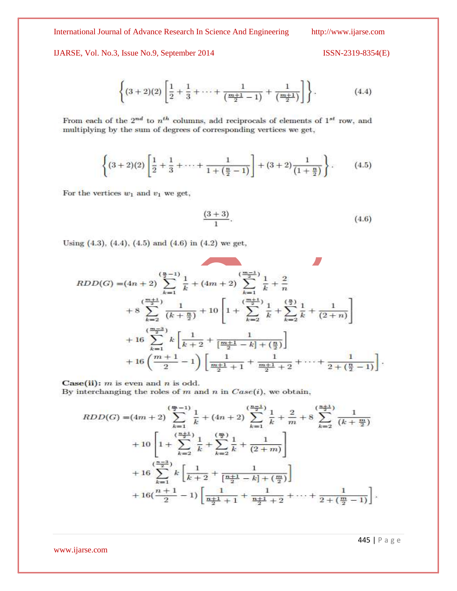IJARSE, Vol. No.3, Issue No.9, September 2014

$$
ISSN-2319-8354(E)
$$

$$
\left\{ (3+2)(2) \left[ \frac{1}{2} + \frac{1}{3} + \dots + \frac{1}{\left( \frac{m+1}{2} - 1 \right)} + \frac{1}{\left( \frac{m+1}{2} \right)} \right] \right\}.
$$
 (4.4)

From each of the  $2^{nd}$  to  $n^{th}$  columns, add reciprocals of elements of  $1^{st}$  row, and multiplying by the sum of degrees of corresponding vertices we get,

$$
\left\{ (3+2)(2) \left[ \frac{1}{2} + \frac{1}{3} + \dots + \frac{1}{1 + \left( \frac{n}{2} - 1 \right)} \right] + (3+2) \frac{1}{\left( 1 + \frac{n}{2} \right)} \right\}.
$$
 (4.5)

For the vertices  $w_1$  and  $v_1$  we get,

$$
\frac{(3+3)}{1}.
$$
 (4.6)

Using  $(4.3)$ ,  $(4.4)$ ,  $(4.5)$  and  $(4.6)$  in  $(4.2)$  we get,

$$
RDD(G) = (4n+2)\sum_{k=1}^{\left(\frac{n}{2}-1\right)}\frac{1}{k} + (4m+2)\sum_{k=1}^{\left(\frac{m-1}{2}\right)}\frac{1}{k} + \frac{2}{n}
$$
  
+8\sum\_{k=2}^{\left(\frac{m+1}{2}\right)}\frac{1}{(k+\frac{n}{2})} + 10\left[1 + \sum\_{k=2}^{\left(\frac{m+1}{2}\right)}\frac{1}{k} + \sum\_{k=2}^{\left(\frac{n}{2}\right)}\frac{1}{k} + \frac{1}{(2+n)}\right]  
+16\sum\_{k=1}^{\left(\frac{m-3}{2}\right)}k\left[\frac{1}{k+2} + \frac{1}{\left[\frac{m+1}{2} - k\right] + \left(\frac{n}{2}\right)}\right]  
+16\left(\frac{m+1}{2} - 1\right)\left[\frac{1}{\frac{m+1}{2} + 1} + \frac{1}{\frac{m+1}{2} + 2} + \dots + \frac{1}{2 + \left(\frac{n}{2} - 1\right)}\right].

Case(ii):  $m$  is even and  $n$  is odd. By interchanging the roles of  $m$  and  $n$  in  $Case(i)$ , we obtain,

$$
RDD(G) = (4m+2) \sum_{k=1}^{\left(\frac{m}{2}-1\right)} \frac{1}{k} + (4n+2) \sum_{k=1}^{\left(\frac{m-1}{2}\right)} \frac{1}{k} + \frac{2}{m} + 8 \sum_{k=2}^{\left(\frac{m+1}{2}\right)} \frac{1}{\left(k + \frac{m}{2}\right)}
$$
  
+ 
$$
10 \left[ 1 + \sum_{k=2}^{\left(\frac{m+1}{2}\right)} \frac{1}{k} + \sum_{k=2}^{\left(\frac{m}{2}\right)} \frac{1}{k} + \frac{1}{\left(2+m\right)} \right]
$$
  
+ 
$$
16 \sum_{k=1}^{\left(\frac{n-3}{2}\right)} k \left[ \frac{1}{k+2} + \frac{1}{\left[\frac{n+1}{2} - k\right] + \left(\frac{m}{2}\right)} \right]
$$
  
+ 
$$
16 \left( \frac{n+1}{2} - 1 \right) \left[ \frac{1}{\frac{n+1}{2} + 1} + \frac{1}{\frac{n+1}{2} + 2} + \dots + \frac{1}{2 + \left(\frac{m}{2} - 1\right)} \right].
$$

445 | P a g e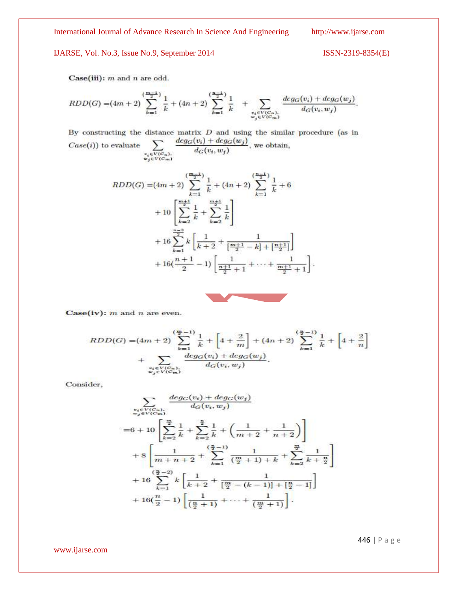446 | P a g e

Case(iii):  $m$  and  $n$  are odd.

$$
RDD(G) = (4m+2)\sum_{k=1}^{\left(\frac{m-1}{2}\right)}\frac{1}{k} + (4n+2)\sum_{k=1}^{\left(\frac{n-1}{2}\right)}\frac{1}{k} + \sum_{\substack{v_i \in V(C_n),\\w_j \in V(C_m)}}\frac{deg_G(v_i) + deg_G(w_j)}{d_G(v_i, w_j)}.
$$

By constructing the distance matrix  $D$  and using the similar procedure (as in  $\frac{deg_G(v_i)+deg_G(w_j)}{d_G(v_i,w_j)},$  we obtain,  $\textit{Case}(i)$ ) to evaluate  $\begin{array}{l} v_i\!\in\!\overline{V(C_n)},\\ w_j\!\in\!\overline{V(C_m)} \end{array}$ 

$$
RDD(G) = (4m+2)\sum_{k=1}^{\left(\frac{m-1}{2}\right)}\frac{1}{k} + (4n+2)\sum_{k=1}^{\left(\frac{n-1}{2}\right)}\frac{1}{k} + 6
$$
  
+ 
$$
10\left[\sum_{k=2}^{\frac{m+1}{2}}\frac{1}{k} + \sum_{k=2}^{\frac{m+1}{2}}\frac{1}{k}\right]
$$
  
+ 
$$
16\sum_{k=1}^{\frac{n-3}{2}}k\left[\frac{1}{k+2} + \frac{1}{\left[\frac{m+1}{2} - k\right] + \left[\frac{n+1}{2}\right]}\right]
$$
  
+ 
$$
16\left(\frac{n+1}{2} - 1\right)\left[\frac{1}{\frac{n+1}{2} + 1} + \dots + \frac{1}{\frac{m+1}{2} + 1}\right]
$$



ŀ.

Case(iv):  $m$  and  $n$  are even.

$$
RDD(G) = (4m+2)\sum_{k=1}^{\left(\frac{m}{2}-1\right)}\frac{1}{k} + \left[4+\frac{2}{m}\right] + (4n+2)\sum_{k=1}^{\left(\frac{n}{2}-1\right)}\frac{1}{k} + \left[4+\frac{2}{n}\right] + \sum_{\substack{v_i \in V(C_n) \\ w_j \in V(C_m)}} \frac{\deg_G(v_i) + \deg_G(w_j)}{d_G(v_i, w_j)}.
$$

Consider,

$$
\sum_{\substack{e_i \in V(C_n) \\ e_j \in V(C_m)}} \frac{\deg_G(v_i) + \deg_G(w_j)}{d_G(v_i, w_j)}
$$
\n
$$
= 6 + 10 \left[ \sum_{k=2}^{\frac{m}{2}} \frac{1}{k} + \sum_{k=2}^{\frac{n}{2}} \frac{1}{k} + \left( \frac{1}{m+2} + \frac{1}{n+2} \right) \right]
$$
\n
$$
+ 8 \left[ \frac{1}{m+n+2} + \sum_{k=1}^{\left(\frac{m}{2}-1\right)} \frac{1}{\left(\frac{m}{2}+1\right)+k} + \sum_{k=2}^{\frac{m}{2}} \frac{1}{k+\frac{n}{2}} \right]
$$
\n
$$
+ 16 \sum_{k=1}^{\left(\frac{n}{2}-2\right)} k \left[ \frac{1}{k+2} + \frac{1}{\left[\frac{m}{2} - (k-1)\right] + \left[\frac{n}{2} - 1\right]} \right]
$$
\n
$$
+ 16 \left( \frac{n}{2} - 1 \right) \left[ \frac{1}{\left(\frac{n}{2} + 1\right)} + \dots + \frac{1}{\left(\frac{m}{2} + 1\right)} \right].
$$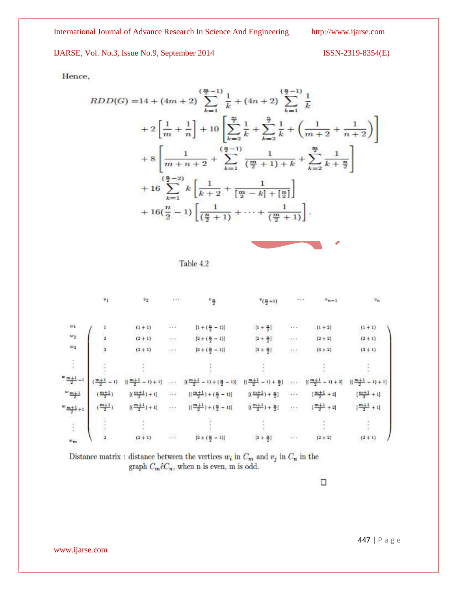IJARSE, Vol. No.3, Issue No.9, September 2014 ISSN-2319-8354(E)

Hence,

$$
RDD(G) = 14 + (4m + 2) \sum_{k=1}^{\left(\frac{m}{2}-1\right)} \frac{1}{k} + (4n + 2) \sum_{k=1}^{\left(\frac{n}{2}-1\right)} \frac{1}{k}
$$
  
+ 2\left[\frac{1}{m} + \frac{1}{n}\right] + 10\left[\sum\_{k=2}^{\frac{m}{2}} \frac{1}{k} + \sum\_{k=2}^{\frac{n}{2}} \frac{1}{k} + \left(\frac{1}{m+2} + \frac{1}{n+2}\right)\right]  
+ 8\left[\frac{1}{m+n+2} + \sum\_{k=1}^{\left(\frac{n}{2}-1\right)} \frac{1}{\left(\frac{m}{2}+1\right)+k} + \sum\_{k=2}^{\frac{m}{2}} \frac{1}{k+\frac{n}{2}}\right]  
+ 16\sum\_{k=1}^{\left(\frac{n}{2}-2\right)} k\left[\frac{1}{k+2} + \frac{1}{\left[\frac{m}{2}-k\right]+ \left[\frac{n}{2}\right]}\right]  
+ 16\left(\frac{n}{2}-1\right)\left[\frac{1}{\left(\frac{n}{2}+1\right)} + \dots + \frac{1}{\left(\frac{m}{2}+1\right)}\right].





|                                   | $v_1$              | $\mathbf{v}_2$          | $\sim$ $\sim$                        | $^v\frac{n}{2}$                       | $v(\frac{n}{2}+1)$                | $\sim$ $\sim$              | $v_{n-1}$                        | $\boldsymbol{v}_n$                |
|-----------------------------------|--------------------|-------------------------|--------------------------------------|---------------------------------------|-----------------------------------|----------------------------|----------------------------------|-----------------------------------|
| $w_1$                             | 1                  | $(1 + 1)$               | N.                                   | $[1 + (\frac{n}{2} - 1)]$             | $[1 + \frac{n}{2}]$               | $\sim$                     | $(1 + 2)$                        | $(1 + 1)$                         |
| $\boldsymbol{w}_2$                | $\overline{2}$     | $(2+1)$                 | W                                    | $[2 + (\frac{n}{2} - 1)]$             | $[2 + \frac{m}{2}]$               | USSE:<br>224               | $(2 + 2)$                        | $(2+1)$                           |
| $\boldsymbol{w}_3$                | 3                  | $(3 + 1)$               | <b>STE</b>                           | $[3+(\frac{\pi}{2}-1)]$               | $[3 + \frac{11}{2}]$              | <b>State</b>               | $(3 + 2)$                        | $(3 + 1)$                         |
| ţ                                 |                    |                         |                                      |                                       |                                   |                            |                                  |                                   |
| $\frac{w}{2} \frac{m+1}{2} - 1$ . | $\frac{m+1}{2}-1)$ | $[(\frac{m+1}{2}-1)+1]$ | 55.5                                 | $[(\frac{m+1}{2}-1)+(\frac{n}{2}-1)]$ | $[(\frac{m+1}{2}-1)+\frac{m}{2}]$ | 117                        | $[(\frac{m+1}{2}-1)+2]$          | $\lceil(\frac{m+1}{2}-1)+1\rceil$ |
| $\frac{m+1}{2}$                   | $(\frac{m+1}{2})$  | $[(\frac{m+1}{2})+1]$   | $\mathcal{L} \leftarrow \mathcal{L}$ | $[(\frac{m+1}{2})+(\frac{n}{2}-1)]$   | $[(\frac{m+1}{2}) + \frac{n}{2}]$ |                            | $[\frac{m+1}{2} + 2]$            | $[\frac{m+1}{2}+1]$               |
| $\frac{w}{2} \frac{m+1}{2} + 1$   | $(\frac{m+1}{2})$  | $[(\frac{m+1}{2})+1]$   | tilt.<br>Skil                        | $[(\frac{m+1}{2})+(\frac{n}{2}-1)]$   | $[(\frac{m+1}{2}) + \frac{n}{2}]$ | $\mathcal{P}^{\text{max}}$ | $\left[\frac{m+1}{2} + 2\right]$ | $[\frac{m+1}{2} + 1]$             |
| $\mathcal{C}^{\star}$             |                    |                         |                                      |                                       |                                   |                            |                                  |                                   |
| $w_{\text{res}}$                  |                    | $(2 + 1)$               | N.                                   | Naporta<br>$[2+(\frac{n}{2}-1)]$      | $[2 + \frac{m}{2}]$               | n.                         | $(2 + 2)$                        | $(2 + 1)$                         |

Distance matrix : distance between the vertices  $w_i$  in  $C_m$  and  $v_j$  in  $C_n$  in the graph  $C_m\hat{e}C_n$ , when n is even, m is odd.

 $\Box$